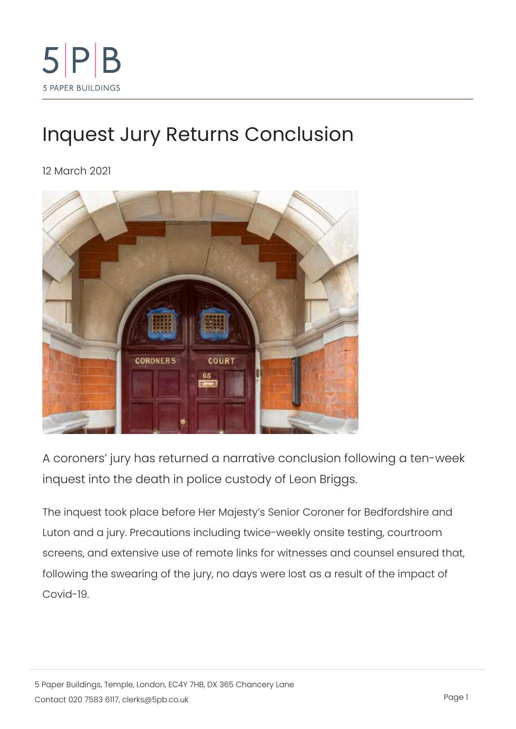## [Inquest Jury Returns C](https://www.5pb.co.uk/news/inquest-jury-returns-conclusion)onclusion

12 March 2021

A coroners jury has returned a narrative conclusion foll inquest into the death in police custody of Leon Briggs.

The inquest took place before Her Majesty s Senior Coroner for Luton and a jury. Precautions including twice-weekly onsite tes screens, and extensive use of remote links for witnesses and co following the swearing of the jury, no days were lost as a resul Covid-19.

5 Paper Buildings, Temple, London, EC4Y 7HB, DX 365 Chancery Lane  $\text{Constant}$   $\text{C}$  on t a  $\text{Out20}$   $\text{7583}$ .  $\text{6}$  I left  $\text{R}$  s  $\text{@}$  5 p b  $\text{c}$  o  $\text{u}$  k